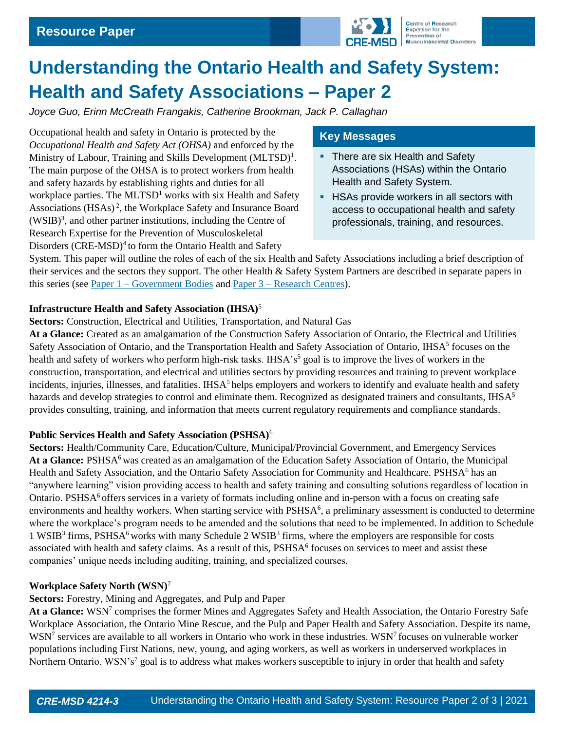

# **Understanding the Ontario Health and Safety System: Health and Safety Associations – Paper 2**

*Joyce Guo, Erinn McCreath Frangakis, Catherine Brookman, Jack P. Callaghan*

Occupational health and safety in Ontario is protected by the *Occupational Health and Safety Act (OHSA)* and enforced by the Ministry of Labour, Training and Skills Development (MLTSD)<sup>1</sup>. The main purpose of the OHSA is to protect workers from health and safety hazards by establishing rights and duties for all workplace parties. The  $MLTSD<sup>1</sup>$  works with six Health and Safety Associations (HSAs)<sup>2</sup>, the Workplace Safety and Insurance Board (WSIB)<sup>3</sup> , and other partner institutions, including the Centre of Research Expertise for the Prevention of Musculoskeletal Disorders  $(CRE\text{-}MSD)^4$  to form the Ontario Health and Safety

## **Key Messages**

- There are six Health and Safety Associations (HSAs) within the Ontario Health and Safety System.
- **EXTERS** Provide workers in all sectors with access to occupational health and safety professionals, training, and resources.

System. This paper will outline the roles of each of the six Health and Safety Associations including a brief description of their services and the sectors they support. The other Health & Safety System Partners are described in separate papers in this series (see Paper  $1 -$  [Government Bodies](https://uwaterloo.ca/centre-of-research-expertise-for-the-prevention-of-musculoskeletal-disorders/resources/position-papers/understanding-ontario-health-and-safety-system-government) and Paper  $3 -$  [Research Centres\)](https://uwaterloo.ca/centre-of-research-expertise-for-the-prevention-of-musculoskeletal-disorders/resources/position-papers/understanding-ontario-health-and-safety-system-research).

#### **Infrastructure Health and Safety Association (IHSA)**<sup>5</sup>

**Sectors:** Construction, Electrical and Utilities, Transportation, and Natural Gas

**At a Glance:** Created as an amalgamation of the Construction Safety Association of Ontario, the Electrical and Utilities Safety Association of Ontario, and the Transportation Health and Safety Association of Ontario, IHSA<sup>5</sup> focuses on the health and safety of workers who perform high-risk tasks. IHSA's<sup>5</sup> goal is to improve the lives of workers in the construction, transportation, and electrical and utilities sectors by providing resources and training to prevent workplace incidents, injuries, illnesses, and fatalities. IHSA<sup>5</sup> helps employers and workers to identify and evaluate health and safety hazards and develop strategies to control and eliminate them. Recognized as designated trainers and consultants,  $HSS^5$ provides consulting, training, and information that meets current regulatory requirements and compliance standards.

## **Public Services Health and Safety Association (PSHSA)**<sup>6</sup>

**Sectors:** Health/Community Care, Education/Culture, Municipal/Provincial Government, and Emergency Services At a Glance: PSHSA<sup>6</sup> was created as an amalgamation of the Education Safety Association of Ontario, the Municipal Health and Safety Association, and the Ontario Safety Association for Community and Healthcare. PSHSA<sup>6</sup> has an "anywhere learning" vision providing access to health and safety training and consulting solutions regardless of location in Ontario. PSHSA<sup>6</sup> offers services in a variety of formats including online and in-person with a focus on creating safe environments and healthy workers. When starting service with PSHSA<sup>6</sup>, a preliminary assessment is conducted to determine where the workplace's program needs to be amended and the solutions that need to be implemented. In addition to Schedule  $1$  WSIB<sup>3</sup> firms, PSHSA<sup>6</sup> works with many Schedule 2 WSIB<sup>3</sup> firms, where the employers are responsible for costs associated with health and safety claims. As a result of this,  $PSHSA<sup>6</sup>$  focuses on services to meet and assist these companies' unique needs including auditing, training, and specialized courses.

## **Workplace Safety North (WSN)**<sup>7</sup>

## **Sectors:** Forestry, Mining and Aggregates, and Pulp and Paper

At a Glance: WSN<sup>7</sup> comprises the former Mines and Aggregates Safety and Health Association, the Ontario Forestry Safe Workplace Association, the Ontario Mine Rescue, and the Pulp and Paper Health and Safety Association. Despite its name, WSN<sup>7</sup> services are available to all workers in Ontario who work in these industries. WSN<sup>7</sup> focuses on vulnerable worker populations including First Nations, new, young, and aging workers, as well as workers in underserved workplaces in Northern Ontario. WSN's<sup>7</sup> goal is to address what makes workers susceptible to injury in order that health and safety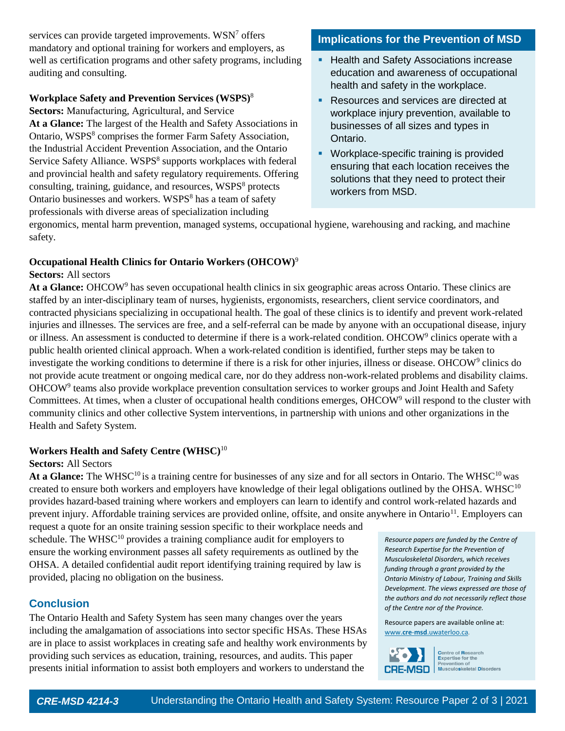services can provide targeted improvements. WSN<sup>7</sup> offers mandatory and optional training for workers and employers, as well as certification programs and other safety programs, including auditing and consulting.

#### **Workplace Safety and Prevention Services (WSPS)**<sup>8</sup>

**Sectors:** Manufacturing, Agricultural, and Service **At a Glance:** The largest of the Health and Safety Associations in Ontario, WSPS<sup>8</sup> comprises the former Farm Safety Association, the Industrial Accident Prevention Association, and the Ontario Service Safety Alliance. WSPS<sup>8</sup> supports workplaces with federal and provincial health and safety regulatory requirements. Offering consulting, training, guidance, and resources, WSPS<sup>8</sup> protects Ontario businesses and workers. WSPS<sup>8</sup> has a team of safety professionals with diverse areas of specialization including

## **Implications for the Prevention of MSD**

- **EXEC** Health and Safety Associations increase education and awareness of occupational health and safety in the workplace.
- Resources and services are directed at workplace injury prevention, available to businesses of all sizes and types in Ontario.
- **Workplace-specific training is provided** ensuring that each location receives the solutions that they need to protect their workers from MSD.

ergonomics, mental harm prevention, managed systems, occupational hygiene, warehousing and racking, and machine safety.

## **Occupational Health Clinics for Ontario Workers (OHCOW)**<sup>9</sup>

#### **Sectors:** All sectors

**At a Glance:** OHCOW<sup>9</sup> has seven occupational health clinics in six geographic areas across Ontario. These clinics are staffed by an inter-disciplinary team of nurses, hygienists, ergonomists, researchers, client service coordinators, and contracted physicians specializing in occupational health. The goal of these clinics is to identify and prevent work-related injuries and illnesses. The services are free, and a self-referral can be made by anyone with an occupational disease, injury or illness. An assessment is conducted to determine if there is a work-related condition. OHCOW<sup>9</sup> clinics operate with a public health oriented clinical approach. When a work-related condition is identified, further steps may be taken to investigate the working conditions to determine if there is a risk for other injuries, illness or disease. OHCOW<sup>9</sup> clinics do not provide acute treatment or ongoing medical care, nor do they address non-work-related problems and disability claims. OHCOW<sup>9</sup> teams also provide workplace prevention consultation services to worker groups and Joint Health and Safety Committees. At times, when a cluster of occupational health conditions emerges, OHCOW<sup>9</sup> will respond to the cluster with community clinics and other collective System interventions, in partnership with unions and other organizations in the Health and Safety System.

## **Workers Health and Safety Centre (WHSC)**<sup>10</sup>

## **Sectors:** All Sectors

**At a Glance:** The WHSC<sup>10</sup> is a training centre for businesses of any size and for all sectors in Ontario. The WHSC<sup>10</sup> was created to ensure both workers and employers have knowledge of their legal obligations outlined by the OHSA. WHSC<sup>10</sup> provides hazard-based training where workers and employers can learn to identify and control work-related hazards and prevent injury. Affordable training services are provided online, offsite, and onsite anywhere in Ontario<sup>11</sup>. Employers can

request a quote for an onsite training session specific to their workplace needs and schedule. The WHSC<sup>10</sup> provides a training compliance audit for employers to ensure the working environment passes all safety requirements as outlined by the OHSA. A detailed confidential audit report identifying training required by law is provided, placing no obligation on the business.

# **Conclusion**

The Ontario Health and Safety System has seen many changes over the years including the amalgamation of associations into sector specific HSAs. These HSAs are in place to assist workplaces in creating safe and healthy work environments by providing such services as education, training, resources, and audits. This paper presents initial information to assist both employers and workers to understand the

*Resource papers are funded by the Centre of Research Expertise for the Prevention of Musculoskeletal Disorders, which receives funding through a grant provided by the Ontario Ministry of Labour, Training and Skills Development. The views expressed are those of the authors and do not necessarily reflect those of the Centre nor of the Province.* 

Resource papers are available online at: www.**cre**-**msd**[.uwaterloo.ca](http://www.cre-msd.uwaterloo.ca/)*.*



Centre of Research<br>Expertise for the<br>Prevention of<br>Musculoskeletal Disorders